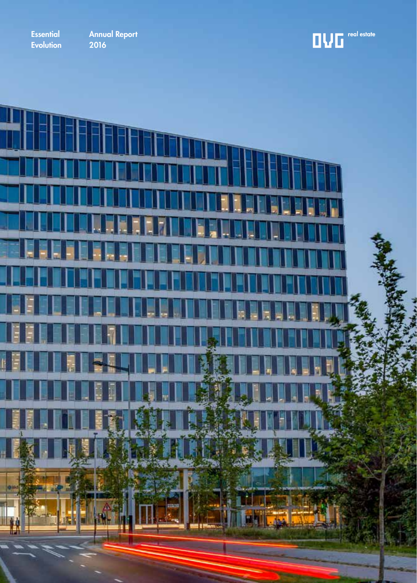Essential **Evolution** 

Annual Report <u>2016</u>

 $\begin{array}{c} \begin{array}{c} \begin{array}{c} \end{array}\\ \end{array} \end{array}$ 

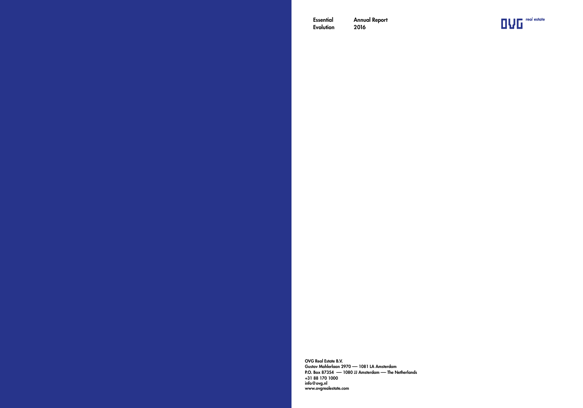Essential Evolution Annual Report 2016



OVG Real Estate B.V. Gustav Mahlerlaan 2970 -- 1081 LA Amsterdam P.O. Box 87354 -- 1080 JJ Amsterdam -- The Netherlands +31 88 170 1000 info@ovg.nl www.ovgrealestate.com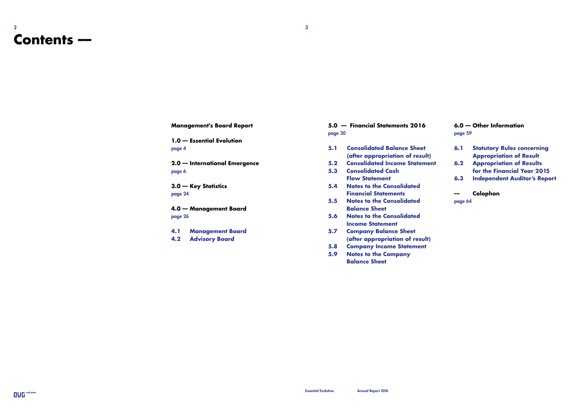### 2  $\sim$  3 **Contents ––**

**Management's Board Report**

**1.0 –– Essential Evolution** page 4

**2.0 –– International Emergence** page 6

**3.0 –– Key Statistics** page 24

**4.0 –– Management Board** page 26

**4.1 Management Board**

**4.2 Advisory Board**

**5.0 –– Financial Statements 2016** page 30

- **5.1 Consolidated Balance Sheet (after appropriation of result)**
- **5.2 Consolidated Income Statement**
- **5.3 Consolidated Cash Flow Statement**
	- **5.4 Notes to the Consolidated Financial Statements**
	- **5.5 Notes to the Consolidated Balance Sheet**
	- **5.6 Notes to the Consolidated Income Statement**
- **5.7 Company Balance Sheet (after appropriation of result)**
- **5.8 Company Income Statement**
- **5.9 Notes to the Company Balance Sheet**

**6.0 –– Other Information** page 59

- **6.1 Statutory Rules concerning Appropriation of Result**
- **6.2 Appropriation of Results for the Financial Year 2015**
- **6.3 Independent Auditor's Report**

**–– Colophon** page 64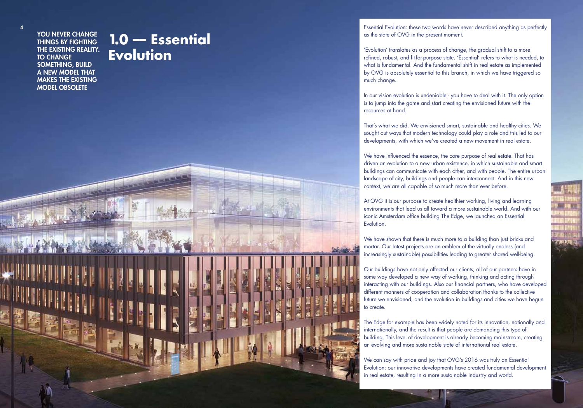#### YOU NEVER CHANGE THINGS BY FIGHTING THE EXISTING REALITY. TO CHANGE SOMETHING, BUILD A NEW MODEL THAT MAKES THE EXISTING MODEL OBSOLETE

4

## **1.0 –– Essential Evolution**

Essential Evolution: these two words have never described anything as perfectly as the state of OVG in the present moment.

'Evolution' translates as a process of change, the gradual shift to a more refined, robust, and fit-for-purpose state. 'Essential' refers to what is needed, to what is fundamental. And the fundamental shift in real estate as implemented by OVG is absolutely essential to this branch, in which we have triggered so much change.

In our vision evolution is undeniable - you have to deal with it. The only option is to jump into the game and start creating the envisioned future with the resources at hand.

That's what we did. We envisioned smart, sustainable and healthy cities. We sought out ways that modern technology could play a role and this led to our developments, with which we've created a new movement in real estate.

We have influenced the essence, the core purpose of real estate. That has driven an evolution to a new urban existence, in which sustainable and smart buildings can communicate with each other, and with people. The entire urban landscape of city, buildings and people can interconnect. And in this new context, we are all capable of so much more than ever before.

At OVG it is our purpose to create healthier working, living and learning environments that lead us all toward a more sustainable world. And with our iconic Amsterdam office building The Edge, we launched an Essential Evolution.

We have shown that there is much more to a building than just bricks and mortar. Our latest projects are an emblem of the virtually endless (and increasingly sustainable) possibilities leading to greater shared well-being.

Our buildings have not only affected our clients; all of our partners have in some way developed a new way of working, thinking and acting through interacting with our buildings. Also our financial partners, who have developed different manners of cooperation and collaboration thanks to the collective future we envisioned, and the evolution in buildings and cities we have begun to create.

The Edge for example has been widely noted for its innovation, nationally and internationally, and the result is that people are demanding this type of building. This level of development is already becoming mainstream, creating an evolving and more sustainable state of international real estate.

We can say with pride and joy that OVG's 2016 was truly an Essential Evolution: our innovative developments have created fundamental development in real estate, resulting in a more sustainable industry and world.

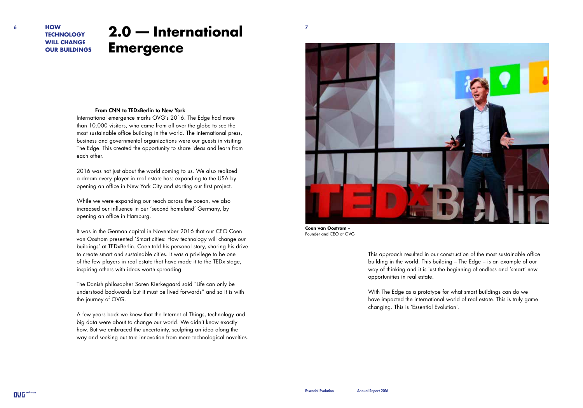#### **HOW TECHNOLOGY WILL CHANGE OUR BUILDINGS**

## **EXAMPLE 2.0 – International Emergence**

#### From CNN to TEDxBerlin to New York

International emergence marks OVG's 2016. The Edge had more than 10.000 visitors, who came from all over the globe to see the most sustainable office building in the world. The international press, business and governmental organizations were our guests in visiting The Edge. This created the opportunity to share ideas and learn from each other.

2016 was not just about the world coming to us. We also realized a dream every player in real estate has: expanding to the USA by opening an office in New York City and starting our first project.

While we were expanding our reach across the ocean, we also increased our influence in our 'second homeland' Germany, by opening an office in Hamburg.

It was in the German capital in November 2016 that our CEO Coen van Oostrom presented 'Smart cities: How technology will change our buildings' at TEDxBerlin. Coen told his personal story, sharing his drive to create smart and sustainable cities. It was a privilege to be one of the few players in real estate that have made it to the TEDx stage, inspiring others with ideas worth spreading.

The Danish philosopher Soren Kierkegaard said "Life can only be understood backwards but it must be lived forwards" and so it is with the journey of OVG.

A few years back we knew that the Internet of Things, technology and big data were about to change our world. We didn't know exactly how. But we embraced the uncertainty, sculpting an idea along the way and seeking out true innovation from mere technological novelties.



**Coen van Oostrom –** Founder and CEO of OVG

This approach resulted in our construction of the most sustainable office building in the world. This building – The Edge – is an example of our way of thinking and it is just the beginning of endless and 'smart' new opportunities in real estate.

With The Edge as a prototype for what smart buildings can do we have impacted the international world of real estate. This is truly game changing. This is 'Essential Evolution'.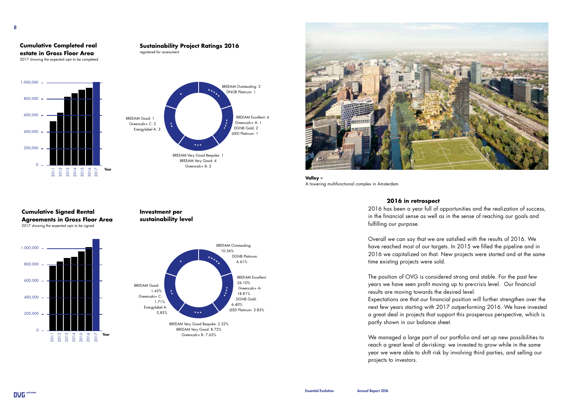#### **Cumulative Completed real estate in Gross Floor Area**  2017 showing the expected sqm to be completed





**Sustainability Project Ratings 2016**

registered for assessment

**Valley –** A towering multifunctional complex in Amsterdam

#### **2016 in retrospect**

2016 has been a year full of opportunities and the realization of success, in the financial sense as well as in the sense of reaching our goals and fulfilling our purpose.

Overall we can say that we are satisfied with the results of 2016. We have reached most of our targets. In 2015 we filled the pipeline and in 2016 we capitalized on that. New projects were started and at the same time existing projects were sold.

The position of OVG is considered strong and stable. For the past few years we have seen profit moving up to pre-crisis level. Our financial results are moving towards the desired level.

Expectations are that our financial position will further strengthen over the next few years starting with 2017 outperforming 2016. We have invested a great deal in projects that support this prosperous perspective, which is partly shown in our balance sheet.

We managed a large part of our portfolio and set up new possibilities to reach a great level of de-risking: we invested to grow while in the same year we were able to shift risk by involving third parties, and selling our projects to investors.

#### **Cumulative Signed Rental Agreements in Gross Floor Area** 2017 showing the expected sqm to be signed



**Investment per sustainability level**

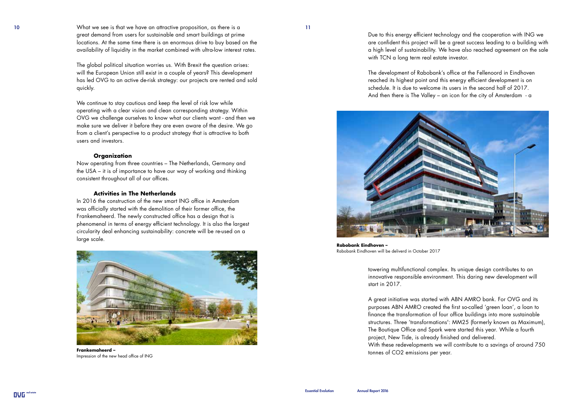10 11 What we see is that we have an attractive proposition, as there is a great demand from users for sustainable and smart buildings at prime locations. At the same time there is an enormous drive to buy based on the availability of liquidity in the market combined with ultra-low interest rates.

> The global political situation worries us. With Brexit the question arises: will the European Union still exist in a couple of years? This development has led OVG to an active de-risk strategy: our projects are rented and sold quickly.

We continue to stay cautious and keep the level of risk low while operating with a clear vision and clean corresponding strategy. Within OVG we challenge ourselves to know what our clients want - and then we make sure we deliver it before they are even aware of the desire. We go from a client's perspective to a product strategy that is attractive to both users and investors.

#### **Organization**

Now operating from three countries – The Netherlands, Germany and the USA – it is of importance to have our way of working and thinking consistent throughout all of our offices.

#### **Activities in The Netherlands**

In 2016 the construction of the new smart ING office in Amsterdam was officially started with the demolition of their former office, the Frankemaheerd. The newly constructed office has a design that is phenomenal in terms of energy efficient technology. It is also the largest circularity deal enhancing sustainability: concrete will be re-used on a large scale.



**Frankemaheerd –** Impression of the new head office of ING

Due to this energy efficient technology and the cooperation with ING we are confident this project will be a great success leading to a building with a high level of sustainability. We have also reached agreement on the sale with TCN a long term real estate investor.

The development of Rabobank's office at the Fellenoord in Eindhoven reached its highest point and this energy efficient development is on schedule. It is due to welcome its users in the second half of 2017. And then there is The Valley – an icon for the city of Amsterdam - a



**Rabobank Eindhoven –** Rabobank Eindhoven will be deliverd in October 2017

towering multifunctional complex. Its unique design contributes to an innovative responsible environment. This daring new development will start in 2017.

A great initiative was started with ABN AMRO bank. For OVG and its purposes ABN AMRO created the first so-called 'green loan', a loan to finance the transformation of four office buildings into more sustainable structures. Three 'transformations': MM25 (formerly known as Maximum), The Boutique Office and Spark were started this year. While a fourth project, New Tide, is already finished and delivered. With these redevelopments we will contribute to a savings of around 750

tonnes of CO2 emissions per year.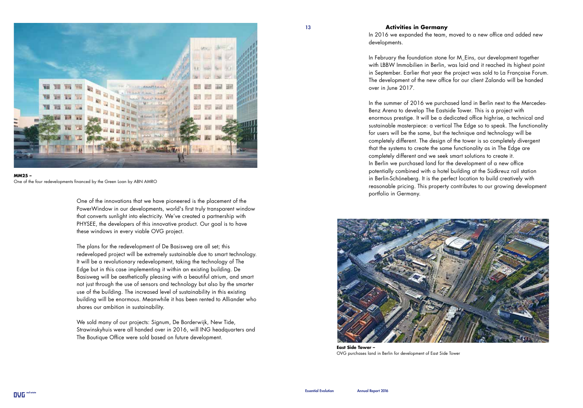

#### **MM25 –** One of the four redevelopments financed by the Green Loan by ABN AMRO

One of the innovations that we have pioneered is the placement of the PowerWindow in our developments, world's first truly transparent window that converts sunlight into electricity. We've created a partnership with PHYSEE, the developers of this innovative product. Our goal is to have these windows in every viable OVG project.

The plans for the redevelopment of De Basisweg are all set; this redeveloped project will be extremely sustainable due to smart technology. It will be a revolutionary redevelopment, taking the technology of The Edge but in this case implementing it within an existing building. De Basisweg will be aesthetically pleasing with a beautiful atrium, and smart not just through the use of sensors and technology but also by the smarter use of the building. The increased level of sustainability in this existing building will be enormous. Meanwhile it has been rented to Alliander who shares our ambition in sustainability.

We sold many of our projects: Signum, De Borderwijk, New Tide, Strawinskyhuis were all handed over in 2016, will ING headquarters and The Boutique Office were sold based on future development.

#### **Activities in Germany**

In 2016 we expanded the team, moved to a new office and added new developments.

In February the foundation stone for M\_Eins, our development together with LBBW Immobilien in Berlin, was laid and it reached its highest point in September. Earlier that year the project was sold to La Française Forum. The development of the new office for our client Zalando will be handed over in June 2017.

In the summer of 2016 we purchased land in Berlin next to the Mercedes-Benz Arena to develop The Eastside Tower. This is a project with enormous prestige. It will be a dedicated office highrise, a technical and sustainable masterpiece: a vertical The Edge so to speak. The functionality for users will be the same, but the technique and technology will be completely different. The design of the tower is so completely divergent that the systems to create the same functionality as in The Edge are completely different and we seek smart solutions to create it. In Berlin we purchased land for the development of a new office potentially combined with a hotel building at the Südkreuz rail station in Berlin-Schöneberg. It is the perfect location to build creatively with reasonable pricing. This property contributes to our growing development portfolio in Germany.



**East Side Tower –** OVG purchases land in Berlin for development of East Side Tower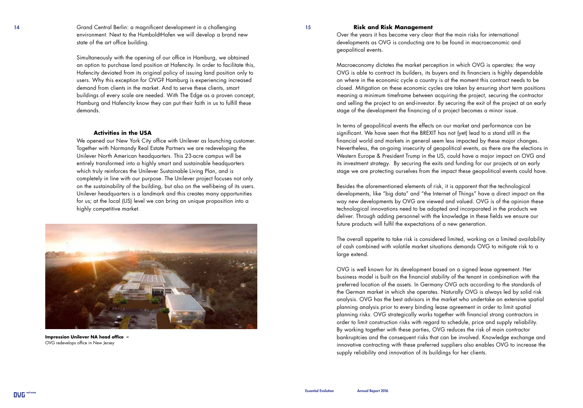14 15 Grand Central Berlin: a magnificent development in a challenging environment. Next to the HumboldtHafen we will develop a brand new state of the art office building.

> Simultaneously with the opening of our office in Hamburg, we obtained an option to purchase land position at Hafencity. In order to facilitate this, Hafencity deviated from its original policy of issuing land position only to users. Why this exception for OVG? Hamburg is experiencing increased demand from clients in the market. And to serve these clients, smart buildings of every scale are needed. With The Edge as a proven concept, Hamburg and Hafencity know they can put their faith in us to fulfill these demands.

#### **Activities in the USA**

We opened our New York City office with Unilever as launching customer. Together with Normandy Real Estate Partners we are redeveloping the Unilever North American headquarters. This 23-acre campus will be entirely transformed into a highly smart and sustainable headquarters which truly reinforces the Unilever Sustainable Living Plan, and is completely in line with our purpose. The Unilever project focuses not only on the sustainability of the building, but also on the well-being of its users. Unilever headquarters is a landmark and this creates many opportunities for us; at the local (US) level we can bring an unique proposition into a highly competitive market.



**Impression Unilever NA head office –**  OVG redevelops office in New Jersey

#### **Risk and Risk Management**

Over the years it has become very clear that the main risks for international developments as OVG is conducting are to be found in macroeconomic and geopolitical events.

Macroeconomy dictates the market perception in which OVG is operates: the way OVG is able to contract its builders, its buyers and its financiers is highly dependable on where in the economic cycle a country is at the moment this contract needs to be closed. Mitigation on these economic cycles are taken by ensuring short term positions meaning a minimum timeframe between acquiring the project, securing the contractor and selling the project to an end-investor. By securing the exit of the project at an early stage of the development the financing of a project becomes a minor issue.

In terms of geopolitical events the effects on our market and performance can be significant. We have seen that the BREXIT has not (yet) lead to a stand still in the financial world and markets in general seem less impacted by these major changes. Nevertheless, the on-going insecurity of geopolitical events, as there are the elections in Western Europe & President Trump in the US, could have a major impact on OVG and its investment strategy. By securing the exits and funding for our projects at an early stage we are protecting ourselves from the impact these geopolitical events could have.

Besides the aforementioned elements of risk, it is apparent that the technological developments, like "big data" and "the Internet of Things" have a direct impact on the way new developments by OVG are viewed and valued. OVG is of the opinion these technological innovations need to be adopted and incorporated in the products we deliver. Through adding personnel with the knowledge in these fields we ensure our future products will fulfil the expectations of a new generation.

The overall appetite to take risk is considered limited, working on a limited availability of cash combined with volatile market situations demands OVG to mitigate risk to a large extend.

OVG is well known for its development based on a signed lease agreement. Her business model is built on the financial stability of the tenant in combination with the preferred location of the assets. In Germany OVG acts according to the standards of the German market in which she operates. Naturally OVG is always led by solid risk analysis. OVG has the best advisors in the market who undertake an extensive spatial planning analysis prior to every binding lease agreement in order to limit spatial planning risks. OVG strategically works together with financial strong contractors in order to limit construction risks with regard to schedule, price and supply reliability. By working together with these parties, OVG reduces the risk of main contractor bankruptcies and the consequent risks that can be involved. Knowledge exchange and innovative contracting with these preferred suppliers also enables OVG to increase the supply reliability and innovation of its buildings for her clients.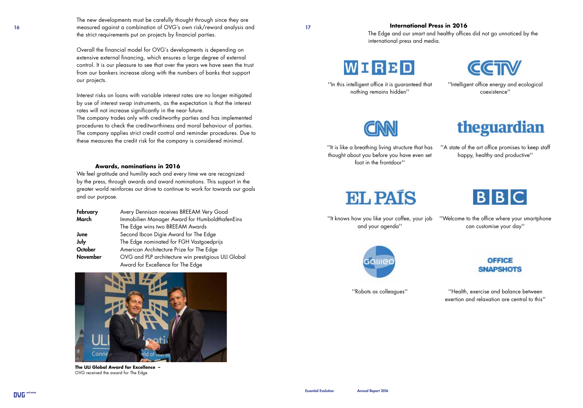16 17 measured against a combination of OVG's own risk/reward analysis and The new developments must be carefully thought through since they are the strict requirements put on projects by financial parties.

> Overall the financial model for OVG's developments is depending on extensive external financing, which ensures a large degree of external control. It is our pleasure to see that over the years we have seen the trust from our bankers increase along with the numbers of banks that support our projects.

Interest risks on loans with variable interest rates are no longer mitigated by use of interest swap instruments, as the expectation is that the interest rates will not increase significantly in the near future.

The company trades only with creditworthy parties and has implemented procedures to check the creditworthiness and moral behaviour of parties. The company applies strict credit control and reminder procedures. Due to these measures the credit risk for the company is considered minimal.

#### **Awards, nominations in 2016**

We feel gratitude and humility each and every time we are recognized by the press, through awards and award nominations. This support in the greater world reinforces our drive to continue to work for towards our goals and our purpose.

| February        | Avery Dennison receives BREEAM Very Good            |
|-----------------|-----------------------------------------------------|
| March           | Immobilien Manager Award for HumboldthafenEins      |
|                 | The Edge wins two BREEAM Awards                     |
| June            | Second Ibcon Digie Award for The Edge               |
| July            | The Edge nominated for FGH Vastgoedprijs            |
| October         | American Architecture Prize for The Edge            |
| <b>November</b> | OVG and PLP architecture win prestigious ULI Global |
|                 | Award for Excellence for The Edge                   |



**The ULI Global Award for Excellence –** OVG received the award for The Edge

#### **International Press in 2016**

The Edge and our smart and healthy offices did not go unnoticed by the international press and media.

## WIRED

''In this intelligent office it is guaranteed that nothing remains hidden''



''Intelligent office energy and ecological coexistence''



## theguardian

''It is like a breathing living structure that has thought about you before you have even set foot in the frontdoor''

''A state of the art office promises to keep staff happy, healthy and productive''

## **EL PAÍS**

''It knows how you like your coffee, your job and your agenda''



''Welcome to the office where your smartphone can customise your day''



**OFFICE SNAPSHOTS** 

''Robots as colleagues''

''Health, exercise and balance between exertion and relaxation are central to this''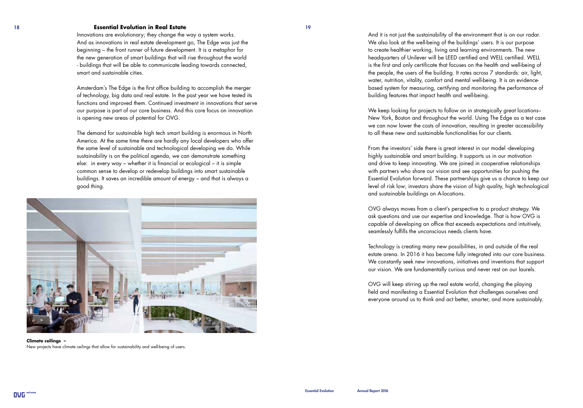#### 18 19 **Essential Evolution in Real Estate**

Innovations are evolutionary; they change the way a system works. And as innovations in real estate development go, The Edge was just the beginning – the front runner of future development. It is a metaphor for the new generation of smart buildings that will rise throughout the world - buildings that will be able to communicate leading towards connected, smart and sustainable cities.

Amsterdam's The Edge is the first office building to accomplish the merger of technology, big data and real estate. In the past year we have tested its functions and improved them. Continued investment in innovations that serve our purpose is part of our core business. And this core focus on innovation is opening new areas of potential for OVG.

The demand for sustainable high tech smart building is enormous in North America. At the same time there are hardly any local developers who offer the same level of sustainable and technological developing we do. While sustainability is on the political agenda, we can demonstrate something else: in every way – whether it is financial or ecological – it is simple common sense to develop or redevelop buildings into smart sustainable buildings. It saves an incredible amount of energy – and that is always a good thing.



**Climate ceilings –**  New projects have climate ceilings that allow for sustainability and well-being of users.

And it is not just the sustainability of the environment that is on our radar. We also look at the well-being of the buildings' users. It is our purpose to create healthier working, living and learning environments. The new headquarters of Unilever will be LEED certified and WELL certified. WELL is the first and only certificate that focuses on the health and well-being of the people, the users of the building. It rates across 7 standards: air, light, water, nutrition, vitality, comfort and mental well-being. It is an evidencebased system for measuring, certifying and monitoring the performance of building features that impact health and well-being.

We keep looking for projects to follow on in strategically great locations– New York, Boston and throughout the world. Using The Edge as a test case we can now lower the costs of innovation, resulting in greater accessibility to all these new and sustainable functionalities for our clients.

From the investors' side there is great interest in our model -developing highly sustainable and smart building. It supports us in our motivation and drive to keep innovating. We are joined in cooperative relationships with partners who share our vision and see opportunities for pushing the Essential Evolution forward. These partnerships give us a chance to keep our level of risk low; investors share the vision of high quality, high technological and sustainable buildings on A-locations.

OVG always moves from a client's perspective to a product strategy. We ask questions and use our expertise and knowledge. That is how OVG is capable of developing an office that exceeds expectations and intuitively, seamlessly fulfills the unconscious needs clients have.

Technology is creating many new possibilities, in and outside of the real estate arena. In 2016 it has become fully integrated into our core business. We constantly seek new innovations, initiatives and inventions that support our vision. We are fundamentally curious and never rest on our laurels.

OVG will keep stirring up the real estate world, changing the playing field and manifesting a Essential Evolution that challenges ourselves and everyone around us to think and act better, smarter, and more sustainably.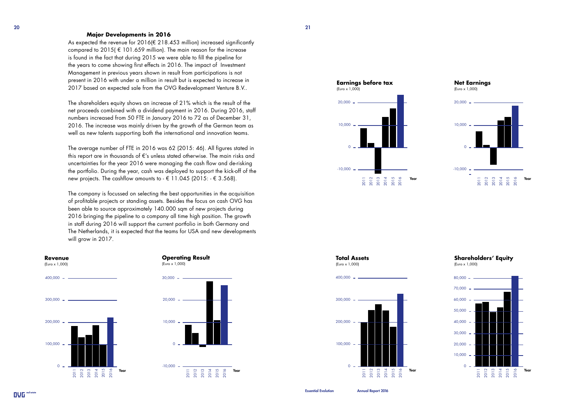#### **Major Developments in 2016**

As expected the revenue for  $2016 \times 218.453$  million) increased significantly compared to 2015( $\epsilon$  101.659 million). The main reason for the increase is found in the fact that during 2015 we were able to fill the pipeline for the years to come showing first effects in 2016. The impact of Investment Management in previous years shown in result from participations is not present in 2016 with under a million in result but is expected to increase in 2017 based on expected sale from the OVG Redevelopment Venture B.V..

The shareholders equity shows an increase of 21% which is the result of the net proceeds combined with a dividend payment in 2016. During 2016, staff numbers increased from 50 FTE in January 2016 to 72 as of December 31, 2016. The increase was mainly driven by the growth of the German team as well as new talents supporting both the international and innovation teams.

The average number of FTE in 2016 was 62 (2015: 46). All figures stated in this report are in thousands of €'s unless stated otherwise. The main risks and uncertainties for the year 2016 were managing the cash flow and de-risking the portfolio. During the year, cash was deployed to support the kick-off of the new projects. The cashflow amounts to  $- \in 11.045$  (2015:  $- \in 3.568$ ).

The company is focussed on selecting the best opportunities in the acquisition of profitable projects or standing assets. Besides the focus on cash OVG has been able to source approximately 140.000 sqm of new projects during 2016 bringing the pipeline to a company all time high position. The growth in staff during 2016 will support the current portfolio in both Germany and The Netherlands, it is expected that the teams for USA and new developments will grow in 2017.













**Shareholders' Equity** (Euro x 1,000)

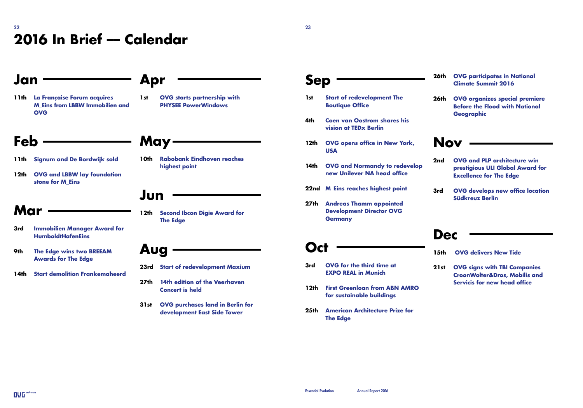### 22  $\sim$  23  $\sim$  23  $\sim$  23  $\sim$  23  $\sim$  23  $\sim$  23  $\sim$  23  $\sim$  23  $\sim$  23  $\sim$  23  $\sim$  23  $\sim$  23  $\sim$  23  $\sim$  23  $\sim$  23  $\sim$  23  $\sim$  23  $\sim$  23  $\sim$  23  $\sim$  23  $\sim$  23  $\sim$  23  $\sim$  23  $\sim$  23  $\sim$  23  $\sim$  23  $\sim$  23  $\$ **2016 In Brief –– Calendar**

### **Apr 1st OVG starts partnership with PHYSEE PowerWindows May 10th Rabobank Eindhoven reaches highest point Jun 12th Second Ibcon Digie Award for The Edge Aug 23rd Start of redevelopment Maxium 27th 14th edition of the Veerhaven Concert is held 31st OVG purchases land in Berlin for development East Side Tower Jan 11th La Française Forum acquires M\_Eins from LBBW Immobilien and OVG Feb 11th Signum and De Bordwijk sold 12th OVG and LBBW lay foundation stone for M\_Eins Mar 3rd Immobilien Manager Award for HumboldtHafenEins 9th The Edge wins two BREEAM Awards for The Edge 14th Start demolition Frankemaheerd**

### **Sep**

- **1st Start of redevelopment The Boutique Office**
- **4th Coen van Oostrom shares his vision at TEDx Berlin**
- **12th OVG opens office in New York, USA**
- **14th OVG and Normandy to redevelop new Unilever NA head office**
- **22nd M\_Eins reaches highest point**
- **27th Andreas Thamm appointed Development Director OVG Germany**

## **Oct**

- **3rd OVG for the third time at EXPO REAL in Munich**
- **12th First Greenloan from ABN AMRO for sustainable buildings**
- **25th American Architecture Prize for The Edge**

#### **26th OVG participates in National Climate Summit 2016**

**26th OVG organizes special premiere Before the Flood with National Geographic**

### **Nov**

- **2nd OVG and PLP architecture win prestigious ULI Global Award for Excellence for The Edge**
- **3rd OVG develops new office location Südkreuz Berlin**

### **Dec**

- **15th OVG delivers New Tide**
- **21st OVG signs with TBI Companies CroonWolter&Dros, Mobilis and Servicis for new head office**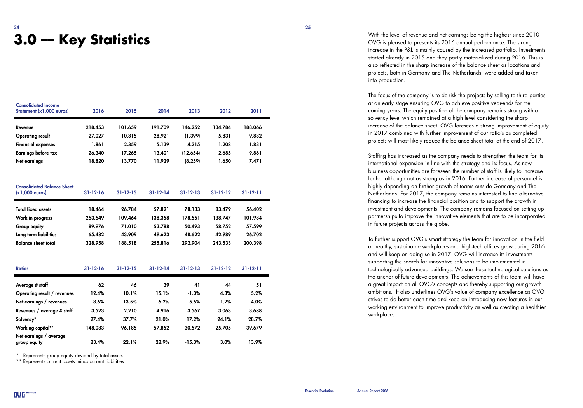# $24$  and  $25$  and  $25$  and  $25$  and  $25$  and  $25$  and  $25$

| <b>Consolidated Income</b><br>Statement (x1,000 euros) | 2016    | 2015    | 2014    | 2013     | 2012    | 2011    |
|--------------------------------------------------------|---------|---------|---------|----------|---------|---------|
| Revenue                                                | 218.453 | 101.659 | 191.709 | 146.252  | 134.784 | 188.066 |
| <b>Operating result</b>                                | 27.027  | 10.315  | 28.921  | (1.399)  | 5.831   | 9.832   |
| <b>Financial expenses</b>                              | 1.861   | 2.359   | 5.139   | 4.215    | 1.208   | 1.831   |
| Earnings before tax                                    | 26.340  | 17.265  | 13.401  | (12.654) | 2.685   | 9.861   |
| Net earnings                                           | 18.820  | 13.770  | 11.929  | (8.259)  | 1.650   | 7.471   |

Consolidated Balance Sheet

| $(x1,000$ euros)                       | $31 - 12 - 16$ | $31 - 12 - 15$ | $31 - 12 - 14$ | $31 - 12 - 13$ | $31 - 12 - 12$ | $31 - 12 - 11$ |  |
|----------------------------------------|----------------|----------------|----------------|----------------|----------------|----------------|--|
| <b>Total fixed assets</b>              | 18.464         | 26.784         | 57.821         | 78.133         | 83.479         | 56.402         |  |
| Work in progress                       | 263.649        | 109.464        | 138.358        | 178.551        | 138.747        | 101.984        |  |
| Group equity                           | 89.976         | 71.010         | 53.788         | 50.493         | 58.752         | 57.599         |  |
| Long term liabilities                  | 65.482         | 43.909         | 49.623         | 48.622         | 42.989         | 26.702         |  |
| <b>Balance sheet total</b>             | 328.958        | 188.518        | 255.816        | 292.904        | 243.533        | 200.398        |  |
|                                        |                |                |                |                |                |                |  |
| <b>Ratios</b>                          | $31 - 12 - 16$ | $31 - 12 - 15$ | $31 - 12 - 14$ | $31 - 12 - 13$ | $31 - 12 - 12$ | $31 - 12 - 11$ |  |
| Average # staff                        | 62             | 46             | 39             | 41             | 44             | 51             |  |
| Operating result / revenues            | 12.4%          | 10.1%          | 15.1%          | $-1.0%$        | 4.3%           | 5.2%           |  |
| Net earnings / revenues                | 8.6%           | 13.5%          | 6.2%           | $-5.6%$        | 1.2%           | 4.0%           |  |
| Revenues / average # staff             | 3.523          | 2.210          | 4.916          | 3.567          | 3.063          | 3.688          |  |
| Solvency*                              | 27.4%          | 37.7%          | 21.0%          | 17.2%          | 24.1%          | 28.7%          |  |
| <b>Working capital**</b>               | 148.033        | 96.185         | 57.852         | 30.572         | 25.705         | 39.679         |  |
| Net earnings / average<br>group equity | 23.4%          | 22.1%          | 22.9%          | $-15.3%$       | 3.0%           | 13.9%          |  |

\* Represents group equity devided by total assets

\*\* Represents current assets minus current liabilities

With the level of revenue and net earnings being the highest since 2010<br>OVG is pleased to presents its 2016 annual performance. The strong OVG is pleased to presents its 2016 annual performance. The strong increase in the P&L is mainly caused by the increased portfolio. Investments started already in 2015 and they partly materialized during 2016. This is also reflected in the sharp increase of the balance sheet as locations and projects, both in Germany and The Netherlands, were added and taken into production.

> The focus of the company is to de-risk the projects by selling to third parties at an early stage ensuring OVG to achieve positive year-ends for the coming years. The equity position of the company remains strong with a solvency level which remained at a high level considering the sharp increase of the balance sheet. OVG foresees a strong improvement of equity in 2017 combined with further improvement of our ratio's as completed projects will most likely reduce the balance sheet total at the end of 2017.

Staffing has increased as the company needs to strengthen the team for its international expansion in line with the strategy and its focus. As new business opportunities are foreseen the number of staff is likely to increase further although not as strong as in 2016. Further increase of personnel is highly depending on further growth of teams outside Germany and The Netherlands. For 2017, the company remains interested to find alternative financing to increase the financial position and to support the growth in investment and developments. The company remains focused on setting up partnerships to improve the innovative elements that are to be incorporated in future projects across the globe.

To further support OVG's smart strategy the team for innovation in the field of healthy, sustainable workplaces and high-tech offices grew during 2016 and will keep on doing so in 2017. OVG will increase its investments supporting the search for innovative solutions to be implemented in technologically advanced buildings. We see these technological solutions as the anchor of future developments. The achievements of this team will have a great impact on all OVG's concepts and thereby supporting our growth ambitions. It also underlines OVG's value of company excellence as OVG strives to do better each time and keep on introducing new features in our working environment to improve productivity as well as creating a healthier workplace.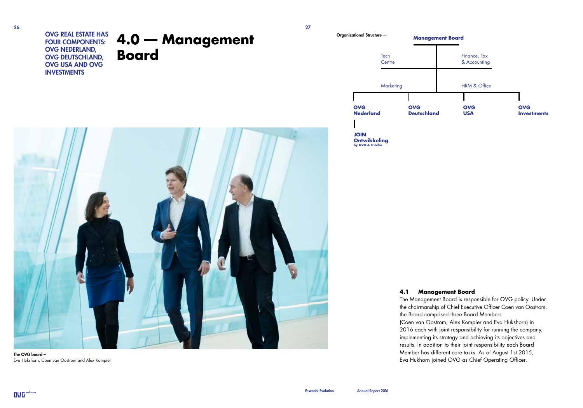**4.0 –– Management Board** OVG REAL ESTATE HAS FOUR COMPONENTS: OVG NEDERLAND, OVG DEUTSCHLAND, OVG USA AND OVG INVESTMENTS



The OVG board – Eva Hukshorn, Coen van Oostrom and Alex Kompier





**Ontwikkeling by OVG & Triodos**

#### **4.1 Management Board**

The Management Board is responsible for OVG policy. Under the chairmanship of Chief Executive Officer Coen van Oostrom, the Board comprised three Board Members (Coen van Oostrom, Alex Kompier and Eva Hukshorn) in 2016 each with joint responsibility for running the company, implementing its strategy and achieving its objectives and results. In addition to their joint responsibility each Board Member has different core tasks. As of August 1st 2015, Eva Hukhorn joined OVG as Chief Operating Officer.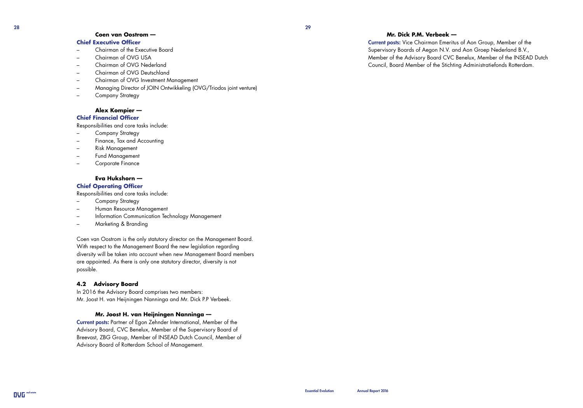#### **Coen van Oostrom ––**

#### **Chief Executive Officer**

- Chairman of the Executive Board
- Chairman of OVG USA
- Chairman of OVG Nederland
- Chairman of OVG Deutschland
- Chairman of OVG Investment Management
- Managing Director of JOIN Ontwikkeling (OVG/Triodos joint venture)
- Company Strategy

#### **Alex Kompier ––**

#### **Chief Financial Officer**

Responsibilities and core tasks include:

- Company Strategy
- Finance, Tax and Accounting
- Risk Management
- Fund Management
- Corporate Finance

#### **Eva Hukshorn ––**

#### **Chief Operating Officer**

Responsibilities and core tasks include:

- Company Strategy
- Human Resource Management
- Information Communication Technology Management
- Marketing & Branding

Coen van Oostrom is the only statutory director on the Management Board. With respect to the Management Board the new legislation regarding diversity will be taken into account when new Management Board members are appointed. As there is only one statutory director, diversity is not possible.

#### **4.2 Advisory Board**

In 2016 the Advisory Board comprises two members: Mr. Joost H. van Heijningen Nanninga and Mr. Dick P.P Verbeek.

#### **Mr. Joost H. van Heijningen Nanninga ––**

Current posts: Partner of Egon Zehnder International, Member of the Advisory Board, CVC Benelux, Member of the Supervisory Board of Breevast, ZBG Group, Member of INSEAD Dutch Council, Member of Advisory Board of Rotterdam School of Management.

#### **Mr. Dick P.M. Verbeek ––**

Current posts: Vice Chairman Emeritus of Aon Group, Member of the Supervisory Boards of Aegon N.V. and Aon Groep Nederland B.V., Member of the Advisory Board CVC Benelux, Member of the INSEAD Dutch Council, Board Member of the Stichting Administratiefonds Rotterdam.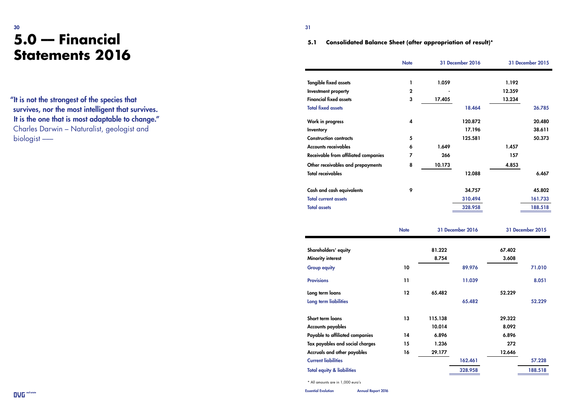### $30$ **5.0 –– Financial Statements 2016**

#### **5.1 Consolidated Balance Sheet (after appropriation of result)\***

| <b>Tangible fixed assets</b><br>I.<br>1.059<br>1.192                                           |         |
|------------------------------------------------------------------------------------------------|---------|
|                                                                                                |         |
|                                                                                                |         |
| $\mathbf 2$<br>12.359<br>Investment property                                                   |         |
| <b>Financial fixed assets</b><br>3<br>17.405<br>13.234                                         |         |
| <b>Total fixed assets</b><br>18.464                                                            | 26.785  |
| 120.872<br>Work in progress<br>4                                                               | 20.480  |
| 17.196<br>Inventory                                                                            | 38.611  |
| <b>Construction contracts</b><br>5<br>125.581                                                  | 50.373  |
| <b>Accounts receivables</b><br>6<br>1.649<br>1.457                                             |         |
| Receivable from affiliated companies<br>7<br>266<br>157                                        |         |
| 8<br>4.853<br>Other receivables and prepayments<br>10.173                                      |         |
| <b>Total receivables</b><br>12.088                                                             | 6.467   |
|                                                                                                |         |
| 9<br>Cash and cash equivalents<br>34.757                                                       | 45.802  |
| <b>Total current assets</b><br>310.494                                                         | 161.733 |
| <b>Total assets</b><br>328.958                                                                 | 188.518 |
|                                                                                                |         |
| <b>31 December 2016</b><br>31 December 2015<br><b>Note</b>                                     |         |
|                                                                                                |         |
| 81.222<br>67.402<br>Shareholders' equity                                                       |         |
| 3.608<br>Minority interest<br>8.754                                                            |         |
|                                                                                                |         |
| 10<br><b>Group equity</b><br>89.976                                                            | 71.010  |
|                                                                                                |         |
| <b>Provisions</b><br>11<br>11.039                                                              | 8.051   |
| 12<br>65.482<br>Long term loans<br>52.229                                                      |         |
| 65.482<br>Long term liabilities                                                                | 52.229  |
|                                                                                                |         |
| Short term loans<br>13<br>115.138<br>29.322                                                    |         |
| Accounts payables<br>8.092<br>10.014                                                           |         |
| Payable to affiliated companies<br>6.896<br>14<br>6.896                                        |         |
| 272<br>Tax payables and social charges<br>15<br>1.236                                          |         |
| Accruals and other payables<br>16<br>29.177<br>12.646<br><b>Current liabilities</b><br>162.461 | 57.228  |

\* All amounts are in 1,000 euro's

OVG real estate Essential Evolution Annual Report 2016

"It is not the strongest of the species that survives, nor the most intelligent that survives. It is the one that is most adaptable to change." Charles Darwin – Naturalist, geologist and biologist –––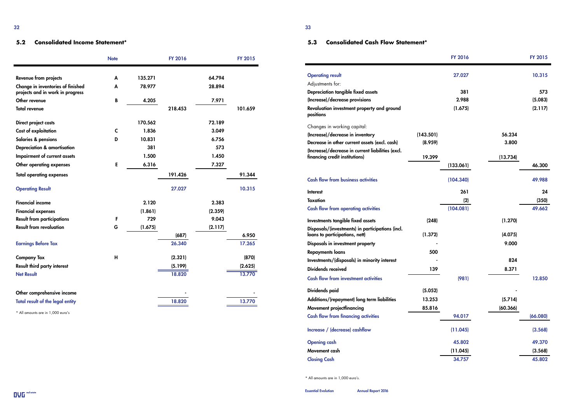#### **5.2 Consolidated Income Statement\***

|                                                                       | <b>Note</b> |         | <b>FY 2016</b> |         | <b>FY 2015</b> |
|-----------------------------------------------------------------------|-------------|---------|----------------|---------|----------------|
|                                                                       |             |         |                |         |                |
| Revenue from projects                                                 | A           | 135.271 |                | 64.794  |                |
| Change in inventories of finished<br>projects and in work in progress | A           | 78.977  |                | 28.894  |                |
| Other revenue                                                         | B           | 4.205   |                | 7.971   |                |
| <b>Total revenue</b>                                                  |             |         | 218.453        |         | 101.659        |
| Direct project costs                                                  |             | 170.562 |                | 72.189  |                |
| Cost of exploitation                                                  | C           | 1.836   |                | 3.049   |                |
| Salaries & pensions                                                   | D           | 10.831  |                | 6.756   |                |
| Depreciation & amortisation                                           |             | 381     |                | 573     |                |
| Impairment of current assets                                          |             | 1.500   |                | 1.450   |                |
| Other operating expenses                                              | Е           | 6.316   |                | 7.327   |                |
| <b>Total operating expenses</b>                                       |             |         | 191.426        |         | 91.344         |
| <b>Operating Result</b>                                               |             |         | 27.027         |         | 10.315         |
| <b>Financial income</b>                                               |             | 2.120   |                | 2.383   |                |
| <b>Financial expenses</b>                                             |             | (1.861) |                | (2.359) |                |
| <b>Result from participations</b>                                     | F           | 729     |                | 9.043   |                |
| <b>Result from revaluation</b>                                        | G           | (1.675) |                | (2.117) |                |
|                                                                       |             |         | (687)          |         | 6.950          |
| <b>Earnings Before Tax</b>                                            |             |         | 26.340         |         | 17.265         |
| <b>Company Tax</b>                                                    | н           |         | (2.321)        |         | (870)          |
| Result third party interest                                           |             |         | (5.199)        |         | (2.625)        |
| <b>Net Result</b>                                                     |             |         | 18.820         |         | 13.770         |
| Other comprehensive income                                            |             |         |                |         |                |
| <b>Total result of the legal entity</b>                               |             |         | 18.820         |         | 13.770         |

\* All amounts are in 1,000 euro's

### **5.3 Consolidated Cash Flow Statement\***

|                                                                                     |           | <b>FY 2016</b> |          | <b>FY 2015</b> |
|-------------------------------------------------------------------------------------|-----------|----------------|----------|----------------|
| <b>Operating result</b>                                                             |           | 27.027         |          | 10.315         |
| Adjustments for:                                                                    |           |                |          |                |
| Depreciation tangible fixed assets                                                  |           | 381            |          | 573            |
| (Increase)/decrease provisions                                                      |           | 2.988          |          | (5.083)        |
| Revaluation investment property and ground<br>positions                             |           | (1.675)        |          | (2.117)        |
| Changes in working capital:                                                         |           |                |          |                |
| (Increase)/decrease in inventory                                                    | (143.501) |                | 56.234   |                |
| Decrease in other current assets (excl. cash)                                       | (8.959)   |                | 3.800    |                |
| (Increase)/decrease in current liabilities (excl.<br>financing credit institutions) | 19.399    |                | (13.734) |                |
|                                                                                     |           | (133.061)      |          | 46.300         |
| <b>Cash flow from business activities</b>                                           |           | (104.340)      |          | 49.988         |
| <b>Interest</b>                                                                     |           | 261            |          | 24             |
| Taxation                                                                            |           | (2)            |          | (350)          |
| <b>Cash flow from operating activities</b>                                          |           | (104.081)      |          | 49.662         |
| Investments tangible fixed assets                                                   | (248)     |                | (1.270)  |                |
| Disposals/(investments) in participations (incl.<br>loans to participations, nett)  | (1.372)   |                | (4.075)  |                |
| Disposals in investment property                                                    |           |                | 9.000    |                |
| <b>Repayments loans</b>                                                             | 500       |                |          |                |
| Investments/(disposals) in minority interest                                        |           |                | 824      |                |
| Dividends received                                                                  | 139       |                | 8.371    |                |
| <b>Cash flow from investment activities</b>                                         |           | (981)          |          | 12.850         |
| Dividends paid                                                                      | (5.052)   |                |          |                |
| Additions/(repayment) long term liabilities                                         | 13.253    |                | (5.714)  |                |
| Movement projectfinancing                                                           | 85.816    |                | (60.366) |                |
| <b>Cash flow from financing activities</b>                                          |           | 94.017         |          | (66.080)       |
| Increase / (decrease) cashflow                                                      |           | (11.045)       |          | (3.568)        |
| <b>Opening cash</b>                                                                 |           | 45.802         |          | 49.370         |
| Movement cash                                                                       |           | (11.045)       |          | (3.568)        |
| <b>Closing Cash</b>                                                                 |           | 34.757         |          | 45.802         |

\* All amounts are in 1,000 euro's.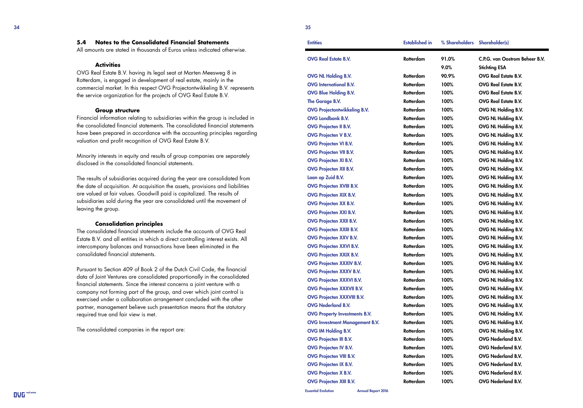#### **5.4 Notes to the Consolidated Financial Statements**

All amounts are stated in thousands of Euros unless indicated otherwise.

#### **Activities**

OVG Real Estate B.V. having its legal seat at Marten Meesweg 8 in Rotterdam, is engaged in development of real estate, mainly in the commercial market. In this respect OVG Projectontwikkeling B.V. represents the service organization for the projects of OVG Real Estate B.V.

#### **Group structure**

Financial information relating to subsidiaries within the group is included in the consolidated financial statements. The consolidated financial statements have been prepared in accordance with the accounting principles regarding valuation and profit recognition of OVG Real Estate B.V.

Minority interests in equity and results of group companies are separately disclosed in the consolidated financial statements.

The results of subsidiaries acquired during the year are consolidated from the date of acquisition. At acquisition the assets, provisions and liabilities are valued at fair values. Goodwill paid is capitalized. The results of subsidiaries sold during the year are consolidated until the movement of leaving the group.

#### **Consolidation principles**

The consolidated financial statements include the accounts of OVG Real Estate B.V. and all entities in which a direct controlling interest exists. All intercompany balances and transactions have been eliminated in the consolidated financial statements.

Pursuant to Section 409 of Book 2 of the Dutch Civil Code, the financial data of Joint Ventures are consolidated proportionally in the consolidated financial statements. Since the interest concerns a joint venture with a company not forming part of the group, and over which joint control is exercised under a collaboration arrangement concluded with the other partner, management believe such presentation means that the statutory required true and fair view is met.

The consolidated companies in the report are:

| <b>Entities</b> | <b>Established in</b> | % Shareholders Shareholder(s) |  |
|-----------------|-----------------------|-------------------------------|--|
| 35              |                       |                               |  |

| <b>OVG Real Estate B.V.</b>           | Rotterdam        | 91.0% | C.P.G. van Oostrom Beheer B.V. |
|---------------------------------------|------------------|-------|--------------------------------|
|                                       |                  | 9.0%  | <b>Stichting ESA</b>           |
| <b>OVG NL Holding B.V.</b>            | Rotterdam        | 90.9% | <b>OVG Real Estate B.V.</b>    |
| <b>OVG</b> International B.V.         | Rotterdam        | 100%  | <b>OVG Real Estate B.V.</b>    |
| <b>OVG Blue Holding B.V.</b>          | Rotterdam        | 100%  | <b>OVG Real Estate B.V.</b>    |
| The Garage B.V.                       | Rotterdam        | 100%  | <b>OVG Real Estate B.V.</b>    |
| <b>OVG Projectontwikkeling B.V.</b>   | Rotterdam        | 100%  | OVG NL Holding B.V.            |
| <b>OVG Landbank B.V.</b>              | Rotterdam        | 100%  | OVG NL Holding B.V.            |
| <b>OVG Projecten II B.V.</b>          | Rotterdam        | 100%  | OVG NL Holding B.V.            |
| <b>OVG Projecten V B.V.</b>           | Rotterdam        | 100%  | OVG NL Holding B.V.            |
| <b>OVG Projecten VI B.V.</b>          | Rotterdam        | 100%  | OVG NL Holding B.V.            |
| <b>OVG Projecten VII B.V.</b>         | Rotterdam        | 100%  | OVG NL Holding B.V.            |
| <b>OVG Projecten XI B.V.</b>          | Rotterdam        | 100%  | OVG NL Holding B.V.            |
| <b>OVG Projecten XII B.V.</b>         | Rotterdam        | 100%  | OVG NL Holding B.V.            |
| Laan op Zuid B.V.                     | Rotterdam        | 100%  | OVG NL Holding B.V.            |
| <b>OVG Projecten XVIII B.V.</b>       | Rotterdam        | 100%  | OVG NL Holding B.V.            |
| <b>OVG Projecten XIX B.V.</b>         | Rotterdam        | 100%  | OVG NL Holding B.V.            |
| <b>OVG Projecten XX B.V.</b>          | Rotterdam        | 100%  | OVG NL Holding B.V.            |
| <b>OVG Projecten XXI B.V.</b>         | Rotterdam        | 100%  | OVG NL Holding B.V.            |
| <b>OVG Projecten XXII B.V.</b>        | Rotterdam        | 100%  | OVG NL Holding B.V.            |
| <b>OVG Projecten XXIII B.V.</b>       | Rotterdam        | 100%  | OVG NL Holding B.V.            |
| <b>OVG Projecten XXV B.V.</b>         | Rotterdam        | 100%  | OVG NL Holding B.V.            |
| <b>OVG Projecten XXVI B.V.</b>        | Rotterdam        | 100%  | OVG NL Holding B.V.            |
| <b>OVG Projecten XXIX B.V.</b>        | Rotterdam        | 100%  | OVG NL Holding B.V.            |
| <b>OVG Projecten XXXIV B.V.</b>       | Rotterdam        | 100%  | OVG NL Holding B.V.            |
| <b>OVG Projecten XXXV B.V.</b>        | Rotterdam        | 100%  | OVG NL Holding B.V.            |
| <b>OVG Projecten XXXVI B.V.</b>       | Rotterdam        | 100%  | OVG NL Holding B.V.            |
| <b>OVG Projecten XXXVII B.V.</b>      | Rotterdam        | 100%  | OVG NL Holding B.V.            |
| <b>OVG Projecten XXXVIII B.V.</b>     | <b>Rotterdam</b> | 100%  | OVG NL Holding B.V.            |
| <b>OVG Nederland B.V.</b>             | Rotterdam        | 100%  | OVG NL Holding B.V.            |
| <b>OVG Property Investments B.V.</b>  | Rotterdam        | 100%  | OVG NL Holding B.V.            |
| <b>OVG Investment Management B.V.</b> | Rotterdam        | 100%  | OVG NL Holding B.V.            |
| <b>OVG IM Holding B.V.</b>            | Rotterdam        | 100%  | OVG NL Holding B.V.            |
| <b>OVG Projecten III B.V.</b>         | Rotterdam        | 100%  | OVG Nederland B.V.             |
| <b>OVG Projecten IV B.V.</b>          | Rotterdam        | 100%  | OVG Nederland B.V.             |
| <b>OVG Projecten VIII B.V.</b>        | Rotterdam        | 100%  | OVG Nederland B.V.             |
| <b>OVG Projecten IX B.V.</b>          | <b>Rotterdam</b> | 100%  | OVG Nederland B.V.             |
| <b>OVG Projecten X B.V.</b>           | Rotterdam        | 100%  | OVG Nederland B.V.             |
| <b>OVG Projecten XIII B.V.</b>        | <b>Rotterdam</b> | 100%  | OVG Nederland B.V.             |
|                                       |                  |       |                                |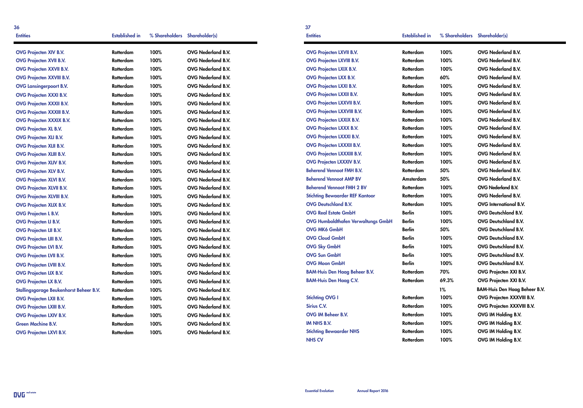| 36<br><b>Entities</b>                   | <b>Established in</b> | % Shareholders Shareholder(s) |                           | 37<br><b>Entities</b>                  | <b>Established in</b> | % Shareholders Shareholder(s) |                                      |
|-----------------------------------------|-----------------------|-------------------------------|---------------------------|----------------------------------------|-----------------------|-------------------------------|--------------------------------------|
| <b>OVG Projecten XIV B.V.</b>           | Rotterdam             | 100%                          | OVG Nederland B.V.        | <b>OVG Projecten LXVII B.V.</b>        | Rotterdam             | 100%                          | OVG Nederland B.V.                   |
| <b>OVG Projecten XVII B.V.</b>          | Rotterdam             | 100%                          | OVG Nederland B.V.        | <b>OVG Projecten LXVIII B.V.</b>       | Rotterdam             | 100%                          | OVG Nederland B.V.                   |
| <b>OVG Projecten XXVII B.V.</b>         | Rotterdam             | 100%                          | OVG Nederland B.V.        | <b>OVG Projecten LXIX B.V.</b>         | Rotterdam             | 100%                          | OVG Nederland B.V.                   |
| <b>OVG Projecten XXVIII B.V.</b>        | Rotterdam             | 100%                          | <b>OVG Nederland B.V.</b> | <b>OVG Projecten LXX B.V.</b>          | Rotterdam             | 60%                           | OVG Nederland B.V.                   |
| <b>OVG Lansingerpoort B.V.</b>          | Rotterdam             | 100%                          | OVG Nederland B.V.        | <b>OVG Projecten LXXI B.V.</b>         | Rotterdam             | 100%                          | OVG Nederland B.V.                   |
| <b>OVG Projecten XXXI B.V.</b>          | Rotterdam             | 100%                          | OVG Nederland B.V.        | <b>OVG Projecten LXXII B.V.</b>        | Rotterdam             | 100%                          | <b>OVG Nederland B.V.</b>            |
| <b>OVG Projecten XXXII B.V.</b>         | Rotterdam             | 100%                          | OVG Nederland B.V.        | <b>OVG Projecten LXXVII B.V.</b>       | Rotterdam             | 100%                          | OVG Nederland B.V.                   |
| <b>OVG Projecten XXXIII B.V.</b>        | Rotterdam             | 100%                          | OVG Nederland B.V.        | <b>OVG Projecten LXXVIII B.V.</b>      | Rotterdam             | 100%                          | OVG Nederland B.V.                   |
| <b>OVG Projecten XXXIX B.V.</b>         | Rotterdam             | 100%                          | OVG Nederland B.V.        | <b>OVG Projecten LXXIX B.V.</b>        | Rotterdam             | 100%                          | OVG Nederland B.V.                   |
| <b>OVG Projecten XL B.V.</b>            | Rotterdam             | 100%                          | OVG Nederland B.V.        | <b>OVG Projecten LXXX B.V.</b>         | Rotterdam             | 100%                          | OVG Nederland B.V.                   |
| <b>OVG Projecten XLI B.V.</b>           | Rotterdam             | 100%                          | OVG Nederland B.V.        | <b>OVG Projecten LXXXI B.V.</b>        | Rotterdam             | 100%                          | OVG Nederland B.V.                   |
| <b>OVG Projecten XLII B.V.</b>          | Rotterdam             | 100%                          | OVG Nederland B.V.        | <b>OVG Projecten LXXXII B.V.</b>       | Rotterdam             | 100%                          | <b>OVG Nederland B.V.</b>            |
| <b>OVG Projecten XLIII B.V.</b>         | Rotterdam             | 100%                          | OVG Nederland B.V.        | <b>OVG Projecten LXXXIII B.V.</b>      | Rotterdam             | 100%                          | OVG Nederland B.V.                   |
| <b>OVG Projecten XLIV B.V.</b>          | Rotterdam             | 100%                          | OVG Nederland B.V.        | <b>OVG Projecten LXXXIV B.V.</b>       | Rotterdam             | 100%                          | OVG Nederland B.V.                   |
| <b>OVG Projecten XLV B.V.</b>           | Rotterdam             | 100%                          | OVG Nederland B.V.        | <b>Beherend Vennoot FMH B.V.</b>       | Rotterdam             | 50%                           | OVG Nederland B.V.                   |
| <b>OVG Projecten XLVI B.V.</b>          | Rotterdam             | 100%                          | OVG Nederland B.V.        | <b>Beherend Vennoot AMP BV</b>         | Amsterdam             | 50%                           | <b>OVG Nederland B.V.</b>            |
| <b>OVG Projecten XLVII B.V.</b>         | Rotterdam             | 100%                          | OVG Nederland B.V.        | <b>Beherend Vennoot FMH 2 BV</b>       | Rotterdam             | 100%                          | OVG Nederland B.V.                   |
| <b>OVG Projecten XLVIII B.V.</b>        | Rotterdam             | 100%                          | OVG Nederland B.V.        | <b>Stichting Bewaarder REF Kantoor</b> | Rotterdam             | 100%                          | OVG Nederland B.V.                   |
| <b>OVG Projecten XLIX B.V.</b>          | Rotterdam             | 100%                          | OVG Nederland B.V.        | <b>OVG Deutschland B.V.</b>            | Rotterdam             | 100%                          | <b>OVG</b> International B.V.        |
| <b>OVG Projecten L B.V.</b>             | Rotterdam             | 100%                          | OVG Nederland B.V.        | <b>OVG Real Estate GmbH</b>            | <b>Berlin</b>         | 100%                          | OVG Deutschland B.V.                 |
| <b>OVG Projecten LI B.V.</b>            | Rotterdam             | 100%                          | OVG Nederland B.V.        | OVG Humboldthafen Verwaltungs GmbH     | <b>Berlin</b>         | 100%                          | OVG Deutschland B.V.                 |
| <b>OVG Projecten LII B.V.</b>           | Rotterdam             | 100%                          | OVG Nederland B.V.        | <b>OVG MK6 GmbH</b>                    | <b>Berlin</b>         | 50%                           | OVG Deutschland B.V.                 |
| <b>OVG Projecten LIII B.V.</b>          | Rotterdam             | 100%                          | OVG Nederland B.V.        | <b>OVG Cloud GmbH</b>                  | <b>Berlin</b>         | 100%                          | OVG Deutschland B.V.                 |
| <b>OVG Projecten LVI B.V.</b>           | Rotterdam             | 100%                          | OVG Nederland B.V.        | <b>OVG Sky GmbH</b>                    | <b>Berlin</b>         | 100%                          | OVG Deutschland B.V.                 |
| <b>OVG Projecten LVII B.V.</b>          | Rotterdam             | 100%                          | OVG Nederland B.V.        | <b>OVG Sun GmbH</b>                    | <b>Berlin</b>         | 100%                          | OVG Deutschland B.V.                 |
| <b>OVG Projecten LVIII B.V.</b>         | Rotterdam             | 100%                          | OVG Nederland B.V.        | <b>OVG Moon GmbH</b>                   | <b>Berlin</b>         | 100%                          | OVG Deutschland B.V.                 |
| <b>OVG Projecten LIX B.V.</b>           | Rotterdam             | 100%                          | OVG Nederland B.V.        | <b>BAM-Huis Den Haag Beheer B.V.</b>   | Rotterdam             | 70%                           | OVG Projecten XXI B.V.               |
| <b>OVG Projecten LX B.V.</b>            | Rotterdam             | 100%                          | OVG Nederland B.V.        | <b>BAM-Huis Den Haag C.V.</b>          | Rotterdam             | 69.3%                         | OVG Projecten XXI B.V.               |
| Stallingsgarage Beukenhorst Beheer B.V. | Rotterdam             | 100%                          | OVG Nederland B.V.        |                                        |                       | 1%                            | <b>BAM-Huis Den Haag Beheer B.V.</b> |
| <b>OVG Projecten LXII B.V.</b>          | Rotterdam             | 100%                          | OVG Nederland B.V.        | <b>Stichting OVG I</b>                 | Rotterdam             | 100%                          | OVG Projecten XXXVIII B.V.           |
| <b>OVG Projecten LXIII B.V.</b>         | Rotterdam             | 100%                          | OVG Nederland B.V.        | <b>Sirius C.V.</b>                     | Rotterdam             | 100%                          | OVG Projecten XXXVIII B.V.           |
| <b>OVG Projecten LXIV B.V.</b>          | Rotterdam             | 100%                          | OVG Nederland B.V.        | OVG IM Beheer B.V.                     | Rotterdam             | 100%                          | OVG IM Holding B.V.                  |
| <b>Green Machine B.V.</b>               | Rotterdam             | 100%                          | OVG Nederland B.V.        | <b>IM NHS B.V.</b>                     | Rotterdam             | 100%                          | OVG IM Holding B.V.                  |
| <b>OVG Projecten LXVI B.V.</b>          | Rotterdam             | 100%                          | OVG Nederland B.V.        | <b>Stichting Bewaarder NHS</b>         | Rotterdam             | 100%                          | OVG IM Holding B.V.                  |
|                                         |                       |                               |                           | <b>NHS CV</b>                          | Rotterdam             | 100%                          | OVG IM Holding B.V.                  |

▄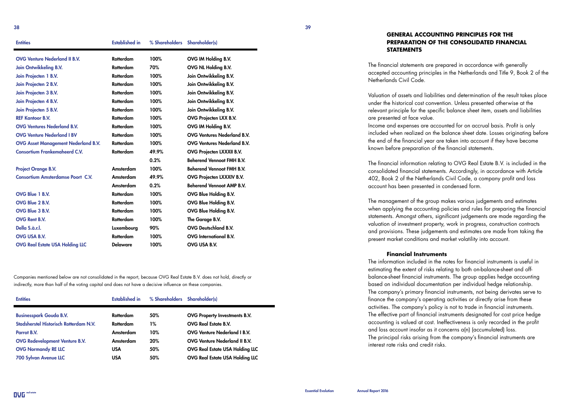#### **GENERAL ACCOUNTING PRINCIPLES FOR THE PREPARATION OF THE CONSOLIDATED FINANCIAL STATEMENTS**

The financial statements are prepared in accordance with generally accepted accounting principles in the Netherlands and Title 9, Book 2 of the Netherlands Civil Code.

Valuation of assets and liabilities and determination of the result takes place under the historical cost convention. Unless presented otherwise at the relevant principle for the specific balance sheet item, assets and liabilities are presented at face value.

Income and expenses are accounted for on accrual basis. Profit is only included when realized on the balance sheet date. Losses originating before the end of the financial year are taken into account if they have become known before preparation of the financial statements.

The financial information relating to OVG Real Estate B.V. is included in the consolidated financial statements. Accordingly, in accordance with Article 402, Book 2 of the Netherlands Civil Code, a company profit and loss account has been presented in condensed form.

The management of the group makes various judgements and estimates when applying the accounting policies and rules for preparing the financial statements. Amongst others, significant judgements are made regarding the valuation of investment property, work in progress, construction contracts and provisions. These judgements and estimates are made from taking the present market conditions and market volatility into account.

#### **Financial Instruments**

The information included in the notes for financial instruments is useful in estimating the extent of risks relating to both on-balance-sheet and offbalance-sheet financial instruments. The group applies hedge accounting based on individual documentation per individual hedge relationship. The company's primary financial instruments, not being derivates serve to finance the company's operating activities or directly arise from these activities. The company's policy is not to trade in financial instruments. The effective part of financial instruments designated for cost price hedge accounting is valued at cost. Ineffectiveness is only recorded in the profit and loss account insofar as it concerns a(n) (accumulated) loss. The principal risks arising from the company's financial instruments are interest rate risks and credit risks.

| <b>Entities</b>                            | <b>Established in</b> | % Shareholders Shareholder(s) |                                    |
|--------------------------------------------|-----------------------|-------------------------------|------------------------------------|
| <b>OVG Venture Nederland II B.V.</b>       | Rotterdam             | 100%                          | OVG IM Holding B.V.                |
| <b>Join Ontwikkeling B.V.</b>              | Rotterdam             | 70%                           | OVG NL Holding B.V.                |
| Join Projecten 1 B.V.                      | Rotterdam             | 100%                          | Join Ontwikkeling B.V.             |
| Join Projecten 2 B.V.                      | <b>Rotterdam</b>      | 100%                          | Join Ontwikkeling B.V.             |
| Join Projecten 3 B.V.                      | Rotterdam             | 100%                          | Join Ontwikkeling B.V.             |
| Join Projecten 4 B.V.                      | Rotterdam             | 100%                          | Join Ontwikkeling B.V.             |
| Join Projecten 5 B.V.                      | Rotterdam             | 100%                          | Join Ontwikkeling B.V.             |
| <b>REF Kantoor B.V.</b>                    | Rotterdam             | 100%                          | OVG Projecten LXX B.V.             |
| <b>OVG Ventures Nederland B.V.</b>         | Rotterdam             | 100%                          | OVG IM Holding B.V.                |
| <b>OVG Venture Nederland I BV</b>          | Rotterdam             | 100%                          | <b>OVG Ventures Nederland B.V.</b> |
| <b>OVG Asset Management Nederland B.V.</b> | Rotterdam             | 100%                          | <b>OVG Ventures Nederland B.V.</b> |
| Consortium Frankemaheerd C.V.              | Rotterdam             | 49.9%                         | <b>OVG Projecten LXXXII B.V.</b>   |
|                                            |                       | 0.2%                          | <b>Beherend Vennoot FMH B.V.</b>   |
| <b>Project Orange B.V.</b>                 | Amsterdam             | 100%                          | <b>Beherend Vennoot FMH B.V.</b>   |
| <b>Consortium Amsterdamse Poort C.V.</b>   | Amsterdam             | 49.9%                         | OVG Projecten LXXXIV B.V.          |
|                                            | Amsterdam             | 0.2%                          | <b>Beherend Vennoot AMP B.V.</b>   |
| OVG Blue 1 B.V.                            | <b>Rotterdam</b>      | 100%                          | <b>OVG Blue Holding B.V.</b>       |
| OVG Blue 2 B.V.                            | Rotterdam             | 100%                          | OVG Blue Holding B.V.              |
| OVG Blue 3 B.V.                            | Rotterdam             | 100%                          | OVG Blue Holding B.V.              |
| <b>OVG Rent B.V.</b>                       | Rotterdam             | 100%                          | The Garage B.V.                    |
| Della S.à.r.l.                             | Luxembourg            | 90%                           | <b>OVG Deutschland B.V.</b>        |
| <b>OVG USA B.V.</b>                        | Rotterdam             | 100%                          | <b>OVG</b> International B.V.      |
| OVG Real Estate USA Holding LLC            | <b>Delaware</b>       | 100%                          | OVG USA B.V.                       |
|                                            |                       |                               |                                    |

Companies mentioned below are not consolidated in the report, because OVG Real Estate B.V. does not hold, directly or indirectly, more than half of the voting capital and does not have a decisive influence on these companies.

| <b>Entities</b>                        | <b>Established in</b> | % Shareholders Shareholder(s) |                                        |
|----------------------------------------|-----------------------|-------------------------------|----------------------------------------|
| <b>Businesspark Gouda B.V.</b>         | Rotterdam             | 50%                           | OVG Property Investments B.V.          |
| Stadsherstel Historisch Rotterdam N.V. | Rotterdam             | $1\%$                         | <b>OVG Real Estate B.V.</b>            |
| Parrot B.V.                            | Amsterdam             | 10%                           | <b>OVG Venture Nederland I B.V.</b>    |
| <b>OVG Redevelopment Venture B.V.</b>  | Amsterdam             | 20%                           | <b>OVG Venture Nederland II B.V.</b>   |
| <b>OVG Normandy RE LLC</b>             | USA                   | 50%                           | <b>OVG Real Estate USA Holding LLC</b> |
| <b>700 Sylvan Avenue LLC</b>           | <b>USA</b>            | 50%                           | <b>OVG Real Estate USA Holding LLC</b> |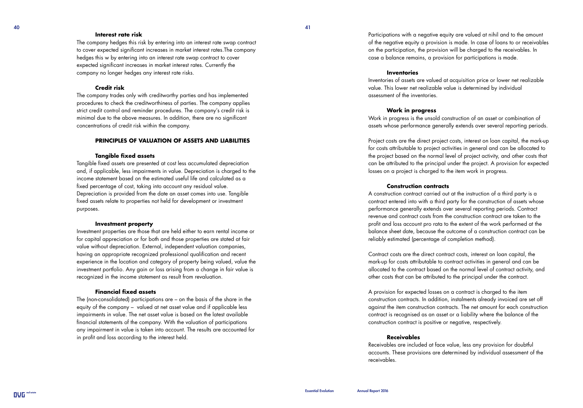#### $40$

#### **Interest rate risk**

The company hedges this risk by entering into an interest rate swap contract to cover expected significant increases in market interest rates.The company hedges this w by entering into an interest rate swap contract to cover expected significant increases in market interest rates. Currently the company no longer hedges any interest rate risks.

#### **Credit risk**

The company trades only with creditworthy parties and has implemented procedures to check the creditworthiness of parties. The company applies strict credit control and reminder procedures. The company's credit risk is minimal due to the above measures. In addition, there are no significant concentrations of credit risk within the company.

#### **PRINCIPLES OF VALUATION OF ASSETS AND LIABILITIES**

#### **Tangible fixed assets**

Tangible fixed assets are presented at cost less accumulated depreciation and, if applicable, less impairments in value. Depreciation is charged to the income statement based on the estimated useful life and calculated as a fixed percentage of cost, taking into account any residual value. Depreciation is provided from the date an asset comes into use. Tangible fixed assets relate to properties not held for development or investment purposes.

#### **Investment property**

Investment properties are those that are held either to earn rental income or for capital appreciation or for both and those properties are stated at fair value without depreciation. External, independent valuation companies, having an appropriate recognized professional qualification and recent experience in the location and category of property being valued, value the investment portfolio. Any gain or loss arising from a change in fair value is recognized in the income statement as result from revaluation.

#### **Financial fixed assets**

The (non-consolidated) participations are – on the basis of the share in the equity of the company – valued at net asset value and if applicable less impairments in value. The net asset value is based on the latest available financial statements of the company. With the valuation of participations any impairment in value is taken into account. The results are accounted for in profit and loss according to the interest held.

Participations with a negative equity are valued at nihil and to the amount of the negative equity a provision is made. In case of loans to or receivables on the participation, the provision will be charged to the receivables. In case a balance remains, a provision for participations is made.

#### **Inventories**

Inventories of assets are valued at acquisition price or lower net realizable value. This lower net realizable value is determined by individual assessment of the inventories.

#### **Work in progress**

Work in progress is the unsold construction of an asset or combination of assets whose performance generally extends over several reporting periods.

Project costs are the direct project costs, interest on loan capital, the mark-up for costs attributable to project activities in general and can be allocated to the project based on the normal level of project activity, and other costs that can be attributed to the principal under the project. A provision for expected losses on a project is charged to the item work in progress.

#### **Construction contracts**

A construction contract carried out at the instruction of a third party is a contract entered into with a third party for the construction of assets whose performance generally extends over several reporting periods. Contract revenue and contract costs from the construction contract are taken to the profit and loss account pro rata to the extent of the work performed at the balance sheet date, because the outcome of a construction contract can be reliably estimated (percentage of completion method).

Contract costs are the direct contract costs, interest on loan capital, the mark-up for costs attributable to contract activities in general and can be allocated to the contract based on the normal level of contract activity, and other costs that can be attributed to the principal under the contract.

A provision for expected losses on a contract is charged to the item construction contracts. In addition, instalments already invoiced are set off against the item construction contracts. The net amount for each construction contract is recognised as an asset or a liability where the balance of the construction contract is positive or negative, respectively.

#### **Receivables**

Receivables are included at face value, less any provision for doubtful accounts. These provisions are determined by individual assessment of the receivables.

**OVE**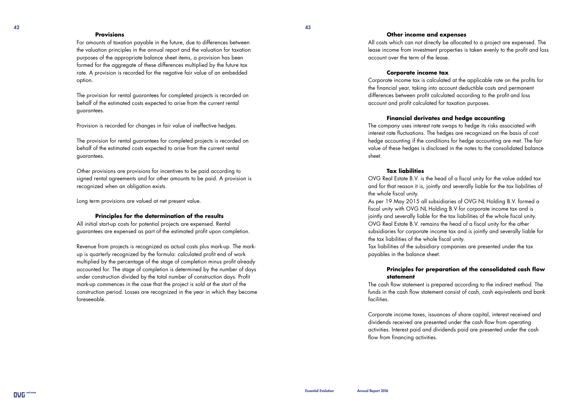#### **Provisions**

For amounts of taxation payable in the future, due to differences between the valuation principles in the annual report and the valuation for taxation purposes of the appropriate balance sheet items, a provision has been formed for the aggregate of these differences multiplied by the future tax rate. A provision is recorded for the negative fair value of an embedded option.

The provision for rental guarantees for completed projects is recorded on behalf of the estimated costs expected to arise from the current rental guarantees.

Provision is recorded for changes in fair value of ineffective hedges.

The provision for rental guarantees for completed projects is recorded on behalf of the estimated costs expected to arise from the current rental guarantees.

Other provisions are provisions for incentives to be paid according to signed rental agreements and for other amounts to be paid. A provision is recognized when an obligation exists.

Long term provisions are valued at net present value.

#### **Principles for the determination of the results**

All initial start-up costs for potential projects are expensed. Rental guarantees are expensed as part of the estimated profit upon completion.

Revenue from projects is recognized as actual costs plus mark-up. The markup is quarterly recognized by the formula: calculated profit end of work multiplied by the percentage of the stage of completion minus profit already accounted for. The stage of completion is determined by the number of days under construction divided by the total number of construction days. Profit mark-up commences in the case that the project is sold at the start of the construction period. Losses are recognized in the year in which they become foreseeable.

#### **Other income and expenses**

All costs which can not directly be allocated to a project are expensed. The lease income from investment properties is taken evenly to the profit and loss account over the term of the lease.

#### **Corporate income tax**

Corporate income tax is calculated at the applicable rate on the profits for the financial year, taking into account deductible costs and permanent differences between profit calculated according to the profit and loss account and profit calculated for taxation purposes.

#### **Financial derivates and hedge accounting**

The company uses interest rate swaps to hedge its risks associated with interest rate fluctuations. The hedges are recognized on the basis of cost hedge accounting if the conditions for hedge accounting are met. The fair value of these hedges is disclosed in the notes to the consolidated balance sheet.

#### **Tax liabilities**

OVG Real Estate B.V. is the head of a fiscal unity for the value added tax and for that reason it is, jointly and severally liable for the tax liabilities of the whole fiscal unity.

As per 19 May 2015 all subsidiaries of OVG NL Holding B.V. formed a fiscal unity with OVG NL Holding B.V for corporate income tax and is jointly and severally liable for the tax liabilities of the whole fiscal unity. OVG Real Estate B.V. remains the head of a fiscal unity for the other subsidiaries for corporate income tax and is jointly and severally liable for the tax liabilities of the whole fiscal unity.

Tax liabilities of the subsidiary companies are presented under the tax payables in the balance sheet.

#### **Principles for preparation of the consolidated cash flow statement**

The cash flow statement is prepared according to the indirect method. The funds in the cash flow statement consist of cash, cash equivalents and bank facilities.

Corporate income taxes, issuances of share capital, interest received and dividends received are presented under the cash flow from operating activities. Interest paid and dividends paid are presented under the cash flow from financing activities.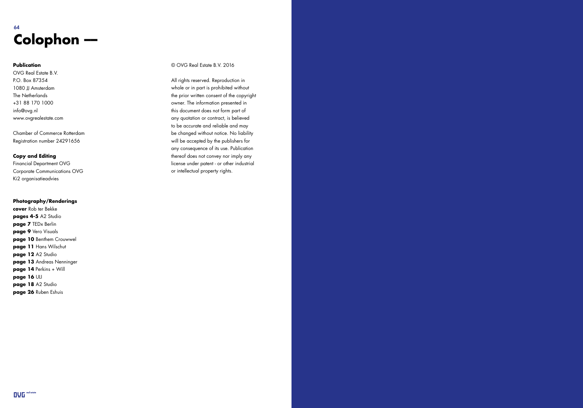### $64$ **Colophon ––**

#### **Publication**

OVG Real Estate B.V. P.O. Box 87354 1080 JJ Amsterdam The Netherlands +31 88 170 1000 info@ovg.nl www.ovgrealestate.com

Chamber of Commerce Rotterdam Registration number 24291656

#### **Copy and Editing**

Financial Department OVG Corporate Communications OVG Ki2 organisatieadvies

#### **Photography/Renderings**

**cover** Rob ter Bekke **pages 4-5** A2 Studio **page 7** TEDx Berlin **page 9** Vero Visuals **page 10** Benthem Crouwwel **page 11** Hans Wilschut **page 12** A2 Studio **page 13** Andreas Nenninger **page 14** Perkins + Will **page 16** ULI **page 18** A2 Studio **page 26** Ruben Eshuis

#### © OVG Real Estate B.V. 2016

All rights reserved. Reproduction in whole or in part is prohibited without the prior written consent of the copyright owner. The information presented in this document does not form part of any quotation or contract, is believed to be accurate and reliable and may be changed without notice. No liability will be accepted by the publishers for any consequence of its use. Publication thereof does not convey nor imply any license under patent - or other industrial or intellectual property rights.